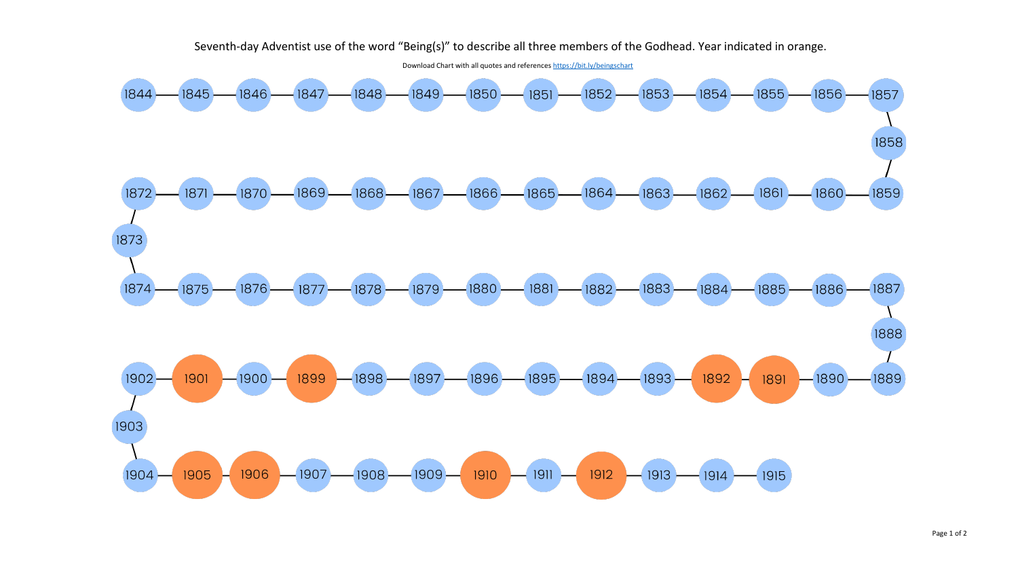## Seventh-day Adventist use of the word "Being(s)" to describe all three members of the Godhead. Year indicated in orange.

Download Chart with all quotes and references<https://bit.ly/beingschart>